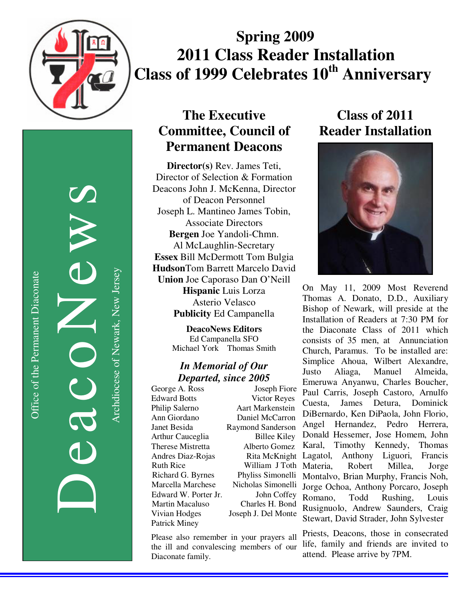

# **Spring 2009 2011 Class Reader Installation Class of 1999 Celebrates 10<sup>th</sup> Anniversary**

Office of the Permanent Diaconate Office of the Permanent Diaconate

DeacoNews News NEWS Archdiocese of Newark, New Jersey Archdiocese of Newark, New Jersey

## **The Executive Committee, Council of Permanent Deacons**

**Director(s)** Rev. James Teti, Director of Selection & Formation Deacons John J. McKenna, Director of Deacon Personnel Joseph L. Mantineo James Tobin, Associate Directors **Bergen** Joe Yandoli-Chmn. Al McLaughlin-Secretary **Essex** Bill McDermott Tom Bulgia **Hudson**Tom Barrett Marcelo David **Union** Joe Caporaso Dan O'Neill **Hispanic** Luis Lorza Asterio Velasco **Publicity** Ed Campanella

> **DeacoNews Editors**  Ed Campanella SFO Michael York Thomas Smith

#### *In Memorial of Our Departed, since 2005*

Edward Botts Victor Reyes Philip Salerno Aart Markenstein Andres Diaz-Rojas Patrick Miney

George A. Ross Joseph Fiore Ann Giordano Daniel McCarron Janet Besida Raymond Sanderson Arthur Cauceglia Billee Kiley Therese Mistretta Alberto Gomez Karal, 7<br>Andres Diaz-Rojas Rita McKnight Lagatol, Ruth Rice William J Toth Richard G. Byrnes Phyliss Simonelli Marcella Marchese Nicholas Simonelli Edward W. Porter Jr. John Coffey Martin Macaluso Charles H. Bond Vivian Hodges Joseph J. Del Monte

Please also remember in your prayers all the ill and convalescing members of our Diaconate family.

## **Class of 2011 Reader Installation**



On May 11, 2009 Most Reverend Thomas A. Donato, D.D., Auxiliary Bishop of Newark, will preside at the Installation of Readers at 7:30 PM for the Diaconate Class of 2011 which consists of 35 men, at Annunciation Church, Paramus. To be installed are: Simplice Ahoua, Wilbert Alexandre, Justo Aliaga, Manuel Almeida, Emeruwa Anyanwu, Charles Boucher, Paul Carris, Joseph Castoro, Arnulfo Cuesta, James Detura, Dominick DiBernardo, Ken DiPaola, John Florio, Angel Hernandez, Pedro Herrera, Donald Hessemer, Jose Homem, John Karal, Timothy Kennedy, Thomas Anthony Liguori, Francis Materia, Robert Millea, Jorge Montalvo, Brian Murphy, Francis Noh, Jorge Ochoa, Anthony Porcaro, Joseph Romano, Todd Rushing, Louis Rusignuolo, Andrew Saunders, Craig Stewart, David Strader, John Sylvester

Priests, Deacons, those in consecrated life, family and friends are invited to attend. Please arrive by 7PM.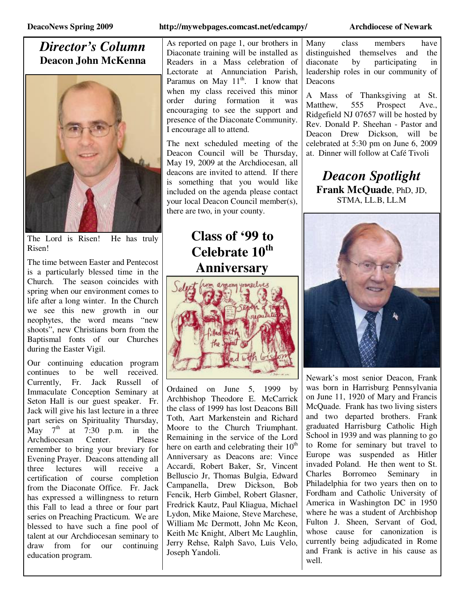#### *Director's Column*  **Deacon John McKenna**



The Lord is Risen! He has truly Risen!

The time between Easter and Pentecost is a particularly blessed time in the Church. The season coincides with spring when our environment comes to life after a long winter. In the Church we see this new growth in our neophytes, the word means "new shoots", new Christians born from the Baptismal fonts of our Churches during the Easter Vigil.

Our continuing education program continues to be well received. Currently, Fr. Jack Russell of Immaculate Conception Seminary at Seton Hall is our guest speaker. Fr. Jack will give his last lecture in a three part series on Spirituality Thursday, May  $7^{\text{th}}$  at 7:30 p.m. in the<br>Archdiocesan Center. Please Archdiocesan Center. Please remember to bring your breviary for Evening Prayer. Deacons attending all three lectures will receive a certification of course completion from the Diaconate Office. Fr. Jack has expressed a willingness to return this Fall to lead a three or four part series on Preaching Practicum. We are blessed to have such a fine pool of talent at our Archdiocesan seminary to draw from for our continuing education program.

#### **DeacoNews Spring 2009 http://mywebpages.comcast.net/edcampy/ Archdiocese of Newark**

As reported on page 1, our brothers in Diaconate training will be installed as Readers in a Mass celebration of Lectorate at Annunciation Parish, Paramus on May  $11^{th}$ . I know that when my class received this minor order during formation it was encouraging to see the support and presence of the Diaconate Community. I encourage all to attend.

The next scheduled meeting of the Deacon Council will be Thursday, May 19, 2009 at the Archdiocesan, all deacons are invited to attend. If there is something that you would like included on the agenda please contact your local Deacon Council member(s), there are two, in your county.

# **Class of '99 to Celebrate 10th Anniversary**



Ordained on June 5, 1999 by Archbishop Theodore E. McCarrick the class of 1999 has lost Deacons Bill Toth, Aart Markenstein and Richard Moore to the Church Triumphant. Remaining in the service of the Lord here on earth and celebrating their  $10<sup>th</sup>$ Anniversary as Deacons are: Vince Accardi, Robert Baker, Sr, Vincent Belluscio Jr, Thomas Bulgia, Edward Campanella, Drew Dickson, Bob Fencik, Herb Gimbel, Robert Glasner, Fredrick Kautz, Paul Kliagua, Michael Lydon, Mike Maione, Steve Marchese, William Mc Dermott, John Mc Keon, Keith Mc Knight, Albert Mc Laughlin, Jerry Rehse, Ralph Savo, Luis Velo, Joseph Yandoli.

Many class members have distinguished themselves and the diaconate by participating in leadership roles in our community of Deacons

A Mass of Thanksgiving at St. Matthew, 555 Prospect Ave., Ridgefield NJ 07657 will be hosted by Rev. Donald P. Sheehan - Pastor and Deacon Drew Dickson, will be celebrated at 5:30 pm on June 6, 2009 at. Dinner will follow at Café Tivoli

*Deacon Spotlight*  **Frank McQuade**, PhD, JD, STMA, LL.B, LL.M



Newark's most senior Deacon, Frank was born in Harrisburg Pennsylvania on June 11, 1920 of Mary and Francis McQuade. Frank has two living sisters and two departed brothers. Frank graduated Harrisburg Catholic High School in 1939 and was planning to go to Rome for seminary but travel to Europe was suspended as Hitler invaded Poland. He then went to St. Charles Borromeo Seminary in Philadelphia for two years then on to Fordham and Catholic University of America in Washington DC in 1950 where he was a student of Archbishop Fulton J. Sheen, Servant of God, whose cause for canonization is currently being adjudicated in Rome and Frank is active in his cause as well.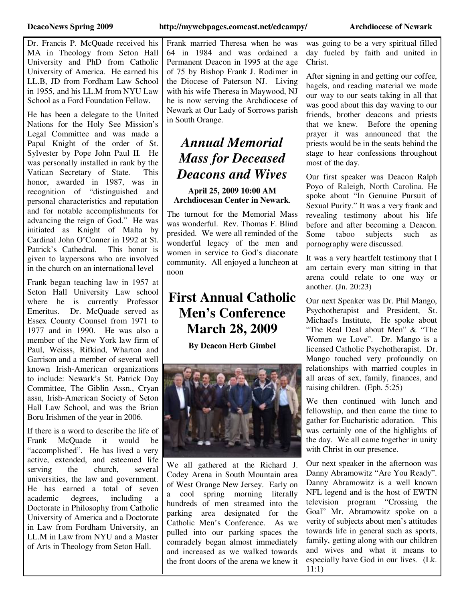Dr. Francis P. McQuade received his MA in Theology from Seton Hall University and PhD from Catholic University of America. He earned his LL.B, JD from Fordham Law School in 1955, and his LL.M from NYU Law School as a Ford Foundation Fellow.

He has been a delegate to the United Nations for the Holy See Mission's Legal Committee and was made a Papal Knight of the order of St. Sylvester by Pope John Paul II. He was personally installed in rank by the Vatican Secretary of State. This honor, awarded in 1987, was in recognition of "distinguished and personal characteristics and reputation and for notable accomplishments for advancing the reign of God." He was initiated as Knight of Malta by Cardinal John O'Conner in 1992 at St. Patrick's Cathedral. This honor is given to laypersons who are involved in the church on an international level

Frank began teaching law in 1957 at Seton Hall University Law school where he is currently Professor Emeritus. Dr. McQuade served as Essex County Counsel from 1971 to 1977 and in 1990. He was also a member of the New York law firm of Paul, Weisss, Rifkind, Wharton and Garrison and a member of several well known Irish-American organizations to include: Newark's St. Patrick Day Committee, The Giblin Assn., Cryan assn, Irish-American Society of Seton Hall Law School, and was the Brian Boru Irishmen of the year in 2006.

If there is a word to describe the life of Frank McQuade it would be "accomplished". He has lived a very active, extended, and esteemed life serving the church, several universities, the law and government. He has earned a total of seven academic degrees, including a Doctorate in Philosophy from Catholic University of America and a Doctorate in Law from Fordham University, an LL.M in Law from NYU and a Master of Arts in Theology from Seton Hall.

was going to be a very spiritual filled day fueled by faith and united in Christ.

After signing in and getting our coffee, bagels, and reading material we made our way to our seats taking in all that was good about this day waving to our friends, brother deacons and priests that we knew. Before the opening prayer it was announced that the priests would be in the seats behind the stage to hear confessions throughout most of the day.

Our first speaker was Deacon Ralph Poyo of Raleigh, North Carolina. He spoke about "In Genuine Pursuit of Sexual Purity." It was a very frank and revealing testimony about his life before and after becoming a Deacon. Some taboo subjects such as pornography were discussed.

It was a very heartfelt testimony that I am certain every man sitting in that arena could relate to one way or another. (Jn. 20:23)

Our next Speaker was Dr. Phil Mango, Psychotherapist and President, St. Michael's Institute, He spoke about "The Real Deal about Men" & "The Women we Love". Dr. Mango is a licensed Catholic Psychotherapist. Dr. Mango touched very profoundly on relationships with married couples in all areas of sex, family, finances, and raising children. (Eph. 5:25)

We then continued with lunch and fellowship, and then came the time to gather for Eucharistic adoration. This was certainly one of the highlights of the day. We all came together in unity with Christ in our presence.

Our next speaker in the afternoon was Danny Abramowitz "Are You Ready". Danny Abramowitz is a well known NFL legend and is the host of EWTN television program "Crossing the Goal" Mr. Abramowitz spoke on a verity of subjects about men's attitudes towards life in general such as sports, family, getting along with our children and wives and what it means to especially have God in our lives. (Lk. 11:1)

Frank married Theresa when he was 64 in 1984 and was ordained a Permanent Deacon in 1995 at the age of 75 by Bishop Frank J. Rodimer in the Diocese of Paterson NJ. Living with his wife Theresa in Maywood, NJ he is now serving the Archdiocese of Newark at Our Lady of Sorrows parish in South Orange.

## *Annual Memorial Mass for Deceased Deacons and Wives*

#### **April 25, 2009 10:00 AM Archdiocesan Center in Newark**.

The turnout for the Memorial Mass was wonderful. Rev. Thomas F. Blind presided. We were all reminded of the wonderful legacy of the men and women in service to God's diaconate community. All enjoyed a luncheon at noon

## **First Annual Catholic Men's Conference March 28, 2009**

**By Deacon Herb Gimbel** 



We all gathered at the Richard J. Codey Arena in South Mountain area of West Orange New Jersey. Early on a cool spring morning literally hundreds of men streamed into the parking area designated for the Catholic Men's Conference. As we pulled into our parking spaces the comradely began almost immediately and increased as we walked towards the front doors of the arena we knew it